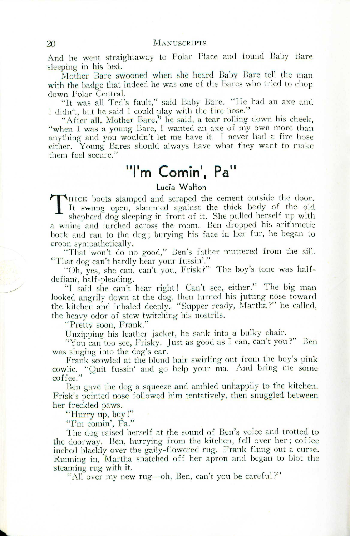And he went straightaway to Polar Place and found Baby Bare sleeping in his bed.

Mother Bare swooned when she heard Baby Bare tell the man with the badge that indeed he was one of the Bares who tried to chop down Polar Central.

"It was all Ted's fault," said Baby Bare. "He had an axe and I didn't, but he said I could play with the fire hose."

"After all, Mother Bare," he said, a tear rolling down his cheek,"<br>when I was a young Bare, I wanted an axe of my own more than anything and you wouldn't let me have it. I never had <sup>a</sup> fire hose either. Young Bares should always have what they want to make them feel secure."

## **"I' m <sup>C</sup>** ormn**.,** , **Pa"**

## **Lucia Walton**

THICK boots stamped and scraped the cement outside the door<br>It swung open, slammed against the thick body of the old<br>shepherd dog sleeping in front of it. She pulled herself up with It swung open, slammed against the thick body of the old shepherd dog sleeping in front of it. She pulled herself up with a whine and lurched across the room. Ben dropped his arithmetic book and ran to the dog; burying his face in her fur, he began to croon sympathetically.

"That won't do no good," Ben's father muttered from the sill. "That dog can't hardly hear your fussin'."

"Oh, yes, she can, can't you. Frisk?" The boy's tone was halfdefiant, half-pleading.

"I said she can't hear right! Can't see, either." The big man looked angrily down at the dog, then turned his jutting nose towar the kitchen and inhaled deeply. "Supper ready, Martha?" he called, the heavy odor of stew twitching his nostrils.

"Pretty soon, Frank."

Unzipping his leather jacket, he sank into a bulky chair.

"You can too see, Frisky. Just as good as I can, can't you?" Ben was singing into the dog's ear.

Frank scowled at the blond hair swirling out from the boy's pink cowlic. "Quit fussin' and go help your ma. And bring me some coffee."

Ben gave the dog a squeeze and ambled unhappily to the kitchen. Frisk's pointed nose followed him tentatively, then snuggled between her freckled paws.

"Hurry up, boy!"

"I'm comin', Pa."

The dog raised herself at the sound of Ben's voice and trotted to the doorway. Ben, hurrying from the kitchen, fell over her; coffee inched blackly over the gaily-flowered rug. Frank flung out a curse. Running in, Martha snatched off her apron and began to blot the steaming rug with it.

"All over my new rug—oh, Ben, can't you be careful?"